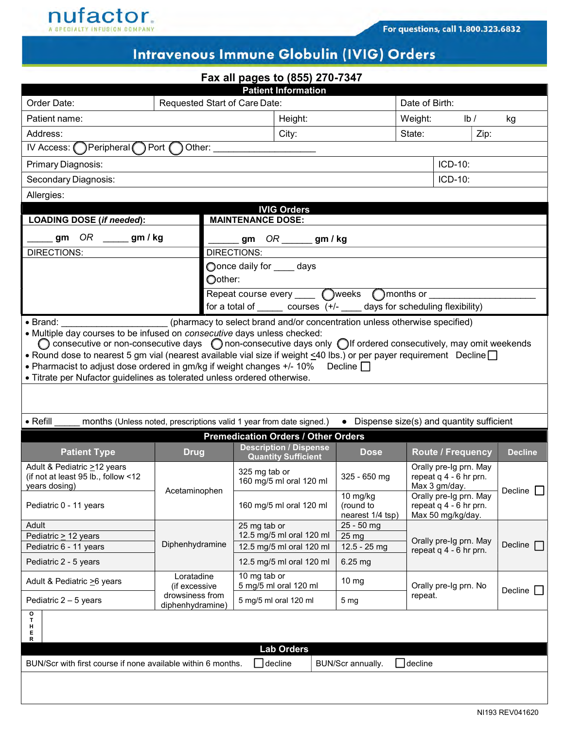

## Intravenous Immune Globulin (IVIG) Orders

| Fax all pages to (855) 270-7347                                                                                                                                                                                                                                                                                                                                                                                                                                                                                                                                                                                        |                               |                                       |                                                             |                                           |                                                                   |                                                                       |                |  |  |  |  |  |
|------------------------------------------------------------------------------------------------------------------------------------------------------------------------------------------------------------------------------------------------------------------------------------------------------------------------------------------------------------------------------------------------------------------------------------------------------------------------------------------------------------------------------------------------------------------------------------------------------------------------|-------------------------------|---------------------------------------|-------------------------------------------------------------|-------------------------------------------|-------------------------------------------------------------------|-----------------------------------------------------------------------|----------------|--|--|--|--|--|
| <b>Patient Information</b>                                                                                                                                                                                                                                                                                                                                                                                                                                                                                                                                                                                             |                               |                                       |                                                             |                                           |                                                                   |                                                                       |                |  |  |  |  |  |
| Order Date:                                                                                                                                                                                                                                                                                                                                                                                                                                                                                                                                                                                                            | Requested Start of Care Date: |                                       |                                                             |                                           | Date of Birth:                                                    |                                                                       |                |  |  |  |  |  |
| Patient name:                                                                                                                                                                                                                                                                                                                                                                                                                                                                                                                                                                                                          |                               |                                       | Height:                                                     |                                           | Weight:                                                           | lb/                                                                   | kg             |  |  |  |  |  |
| Address:                                                                                                                                                                                                                                                                                                                                                                                                                                                                                                                                                                                                               |                               | City:                                 |                                                             |                                           | State:<br>Zip:                                                    |                                                                       |                |  |  |  |  |  |
| $\bigcap$ Peripheral $\bigcap$<br>IV Access: (                                                                                                                                                                                                                                                                                                                                                                                                                                                                                                                                                                         | Port (<br>Other:              |                                       |                                                             |                                           |                                                                   |                                                                       |                |  |  |  |  |  |
| Primary Diagnosis:                                                                                                                                                                                                                                                                                                                                                                                                                                                                                                                                                                                                     |                               |                                       |                                                             |                                           |                                                                   | ICD-10:                                                               |                |  |  |  |  |  |
| Secondary Diagnosis:                                                                                                                                                                                                                                                                                                                                                                                                                                                                                                                                                                                                   |                               |                                       |                                                             | ICD-10:                                   |                                                                   |                                                                       |                |  |  |  |  |  |
| Allergies:                                                                                                                                                                                                                                                                                                                                                                                                                                                                                                                                                                                                             |                               |                                       |                                                             |                                           |                                                                   |                                                                       |                |  |  |  |  |  |
| <b>IVIG Orders</b>                                                                                                                                                                                                                                                                                                                                                                                                                                                                                                                                                                                                     |                               |                                       |                                                             |                                           |                                                                   |                                                                       |                |  |  |  |  |  |
| LOADING DOSE (if needed):                                                                                                                                                                                                                                                                                                                                                                                                                                                                                                                                                                                              |                               | <b>MAINTENANCE DOSE:</b>              |                                                             |                                           |                                                                   |                                                                       |                |  |  |  |  |  |
| OR _____ gm / kg<br>gm                                                                                                                                                                                                                                                                                                                                                                                                                                                                                                                                                                                                 | gm $OR$ ______ gm / kg        |                                       |                                                             |                                           |                                                                   |                                                                       |                |  |  |  |  |  |
| <b>DIRECTIONS:</b>                                                                                                                                                                                                                                                                                                                                                                                                                                                                                                                                                                                                     | <b>DIRECTIONS:</b>            |                                       |                                                             |                                           |                                                                   |                                                                       |                |  |  |  |  |  |
| ◯once daily for _____ days<br>Oother:                                                                                                                                                                                                                                                                                                                                                                                                                                                                                                                                                                                  |                               |                                       |                                                             |                                           |                                                                   |                                                                       |                |  |  |  |  |  |
| Repeat course every _____ ( ) weeks ( ) months or                                                                                                                                                                                                                                                                                                                                                                                                                                                                                                                                                                      |                               |                                       |                                                             |                                           |                                                                   |                                                                       |                |  |  |  |  |  |
| for a total of $\_\_\_\_$ courses $(+/-\_\_\_\_$ days for scheduling flexibility)                                                                                                                                                                                                                                                                                                                                                                                                                                                                                                                                      |                               |                                       |                                                             |                                           |                                                                   |                                                                       |                |  |  |  |  |  |
| (pharmacy to select brand and/or concentration unless otherwise specified)<br>$\bullet$ Brand:<br>• Multiple day courses to be infused on consecutive days unless checked:<br>$\bigcirc$ consecutive or non-consecutive days $\bigcirc$ non-consecutive days only $\bigcirc$ if ordered consecutively, may omit weekends<br>• Round dose to nearest 5 gm vial (nearest available vial size if weight <40 lbs.) or per payer requirement Decline<br>• Pharmacist to adjust dose ordered in gm/kg if weight changes $+/-10\%$ Decline $\Box$<br>• Titrate per Nufactor guidelines as tolerated unless ordered otherwise. |                               |                                       |                                                             |                                           |                                                                   |                                                                       |                |  |  |  |  |  |
|                                                                                                                                                                                                                                                                                                                                                                                                                                                                                                                                                                                                                        |                               |                                       |                                                             |                                           |                                                                   |                                                                       |                |  |  |  |  |  |
| $\bullet$ Refill<br>months (Unless noted, prescriptions valid 1 year from date signed.)<br>• Dispense size(s) and quantity sufficient                                                                                                                                                                                                                                                                                                                                                                                                                                                                                  |                               |                                       |                                                             |                                           |                                                                   |                                                                       |                |  |  |  |  |  |
|                                                                                                                                                                                                                                                                                                                                                                                                                                                                                                                                                                                                                        |                               |                                       | <b>Premedication Orders / Other Orders</b>                  |                                           |                                                                   |                                                                       |                |  |  |  |  |  |
| <b>Patient Type</b>                                                                                                                                                                                                                                                                                                                                                                                                                                                                                                                                                                                                    | <b>Drug</b>                   |                                       | <b>Description / Dispense</b><br><b>Quantity Sufficient</b> | <b>Dose</b>                               |                                                                   | <b>Route / Frequency</b>                                              | <b>Decline</b> |  |  |  |  |  |
| Adult & Pediatric >12 years<br>(if not at least 95 lb., follow <12<br>years dosing)                                                                                                                                                                                                                                                                                                                                                                                                                                                                                                                                    |                               | 325 mg tab or                         | 160 mg/5 ml oral 120 ml                                     | $325 - 650$ mg                            | Orally pre-Ig prn. May<br>repeat q 4 - 6 hr prn.<br>Max 3 gm/day. |                                                                       |                |  |  |  |  |  |
| Pediatric 0 - 11 years                                                                                                                                                                                                                                                                                                                                                                                                                                                                                                                                                                                                 | Acetaminophen                 |                                       | 160 mg/5 ml oral 120 ml                                     | 10 mg/kg<br>(round to<br>nearest 1/4 tsp) |                                                                   | Orally pre-Ig prn. May<br>repeat q 4 - 6 hr prn.<br>Max 50 mg/kg/day. | Decline $\Box$ |  |  |  |  |  |
| Adult                                                                                                                                                                                                                                                                                                                                                                                                                                                                                                                                                                                                                  |                               | 25 mg tab or                          | 12.5 mg/5 ml oral 120 ml                                    | 25 - 50 mg                                | Orally pre-Ig prn. May                                            |                                                                       |                |  |  |  |  |  |
| Pediatric > 12 years<br>Pediatric 6 - 11 years                                                                                                                                                                                                                                                                                                                                                                                                                                                                                                                                                                         | Diphenhydramine               |                                       | 12.5 mg/5 ml oral 120 ml                                    | 25 mg<br>12.5 - 25 mg                     |                                                                   |                                                                       | Decline $\Box$ |  |  |  |  |  |
| Pediatric 2 - 5 years                                                                                                                                                                                                                                                                                                                                                                                                                                                                                                                                                                                                  |                               | 12.5 mg/5 ml oral 120 ml              |                                                             | 6.25 mg                                   | repeat $q$ 4 - 6 hr prn.                                          |                                                                       |                |  |  |  |  |  |
| Adult & Pediatric >6 years                                                                                                                                                                                                                                                                                                                                                                                                                                                                                                                                                                                             | Loratadine<br>(if excessive   | 10 mg tab or<br>5 mg/5 ml oral 120 ml |                                                             | 10 mg                                     | Orally pre-Ig prn. No                                             |                                                                       |                |  |  |  |  |  |
| Pediatric $2 - 5$ years                                                                                                                                                                                                                                                                                                                                                                                                                                                                                                                                                                                                | drowsiness from               |                                       | 5 mg/5 ml oral 120 ml                                       | 5 <sub>mg</sub>                           | repeat.                                                           |                                                                       | Decline $\Box$ |  |  |  |  |  |
| o                                                                                                                                                                                                                                                                                                                                                                                                                                                                                                                                                                                                                      | diphenhydramine)              |                                       |                                                             |                                           |                                                                   |                                                                       |                |  |  |  |  |  |
| $\frac{\mathsf{T}}{\mathsf{H}}$<br>E                                                                                                                                                                                                                                                                                                                                                                                                                                                                                                                                                                                   |                               |                                       |                                                             |                                           |                                                                   |                                                                       |                |  |  |  |  |  |
| R                                                                                                                                                                                                                                                                                                                                                                                                                                                                                                                                                                                                                      |                               |                                       | <b>Lab Orders</b>                                           |                                           |                                                                   |                                                                       |                |  |  |  |  |  |
| BUN/Scr with first course if none available within 6 months.                                                                                                                                                                                                                                                                                                                                                                                                                                                                                                                                                           |                               |                                       | $\Box$ decline                                              | BUN/Scr annually.                         | $\Box$ decline                                                    |                                                                       |                |  |  |  |  |  |
|                                                                                                                                                                                                                                                                                                                                                                                                                                                                                                                                                                                                                        |                               |                                       |                                                             |                                           |                                                                   |                                                                       |                |  |  |  |  |  |
|                                                                                                                                                                                                                                                                                                                                                                                                                                                                                                                                                                                                                        |                               |                                       |                                                             |                                           |                                                                   |                                                                       |                |  |  |  |  |  |